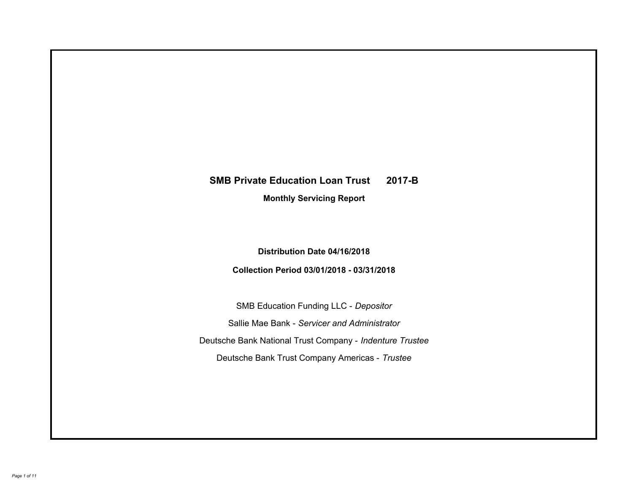# **SMB Private Education Loan Trust 2017-B Monthly Servicing Report**

# **Distribution Date 04/16/2018**

# **Collection Period 03/01/2018 - 03/31/2018**

SMB Education Funding LLC - *Depositor* Sallie Mae Bank - *Servicer and Administrator* Deutsche Bank National Trust Company - *Indenture Trustee* Deutsche Bank Trust Company Americas - *Trustee*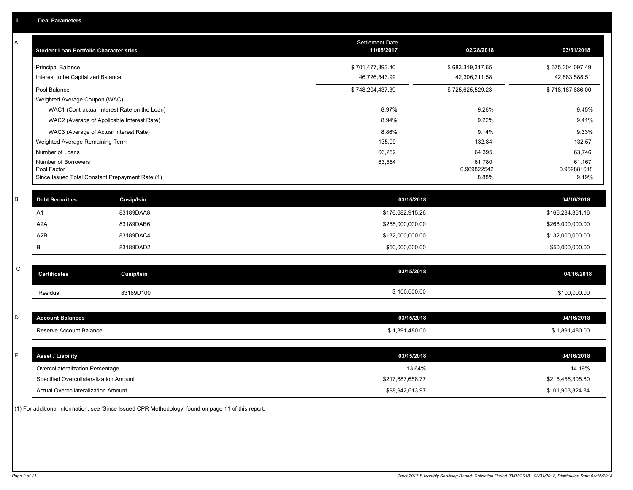| Α           | <b>Student Loan Portfolio Characteristics</b>   |                                              | Settlement Date<br>11/08/2017 | 02/28/2018            | 03/31/2018            |
|-------------|-------------------------------------------------|----------------------------------------------|-------------------------------|-----------------------|-----------------------|
|             | <b>Principal Balance</b>                        |                                              | \$701,477,893.40              | \$683,319,317.65      | \$675,304,097.49      |
|             | Interest to be Capitalized Balance              |                                              | 46,726,543.99                 | 42,306,211.58         | 42,883,588.51         |
|             | Pool Balance                                    |                                              | \$748,204,437.39              | \$725,625,529.23      | \$718,187,686.00      |
|             | Weighted Average Coupon (WAC)                   |                                              |                               |                       |                       |
|             |                                                 | WAC1 (Contractual Interest Rate on the Loan) | 8.97%                         | 9.26%                 | 9.45%                 |
|             |                                                 | WAC2 (Average of Applicable Interest Rate)   | 8.94%                         | 9.22%                 | 9.41%                 |
|             | WAC3 (Average of Actual Interest Rate)          |                                              | 8.86%                         | 9.14%                 | 9.33%                 |
|             | Weighted Average Remaining Term                 |                                              | 135.09                        | 132.84                | 132.57                |
|             | Number of Loans                                 |                                              | 66,252                        | 64,395                | 63,746                |
|             | Number of Borrowers<br>Pool Factor              |                                              | 63,554                        | 61,780<br>0.969822542 | 61,167<br>0.959881618 |
|             | Since Issued Total Constant Prepayment Rate (1) |                                              |                               | 8.88%                 | 9.19%                 |
|             |                                                 |                                              |                               |                       |                       |
| B           | <b>Debt Securities</b>                          | Cusip/Isin                                   | 03/15/2018                    |                       | 04/16/2018            |
|             | A <sub>1</sub>                                  | 83189DAA8                                    | \$176,682,915.26              |                       | \$166,284,361.16      |
|             | A <sub>2</sub> A                                | 83189DAB6                                    | \$268,000,000.00              |                       | \$268,000,000.00      |
|             | A2B                                             | 83189DAC4                                    | \$132,000,000.00              |                       | \$132,000,000.00      |
|             | B                                               | 83189DAD2                                    | \$50,000,000.00               |                       | \$50,000,000.00       |
|             |                                                 |                                              |                               |                       |                       |
| $\mathbf C$ | <b>Certificates</b>                             | <b>Cusip/Isin</b>                            | 03/15/2018                    |                       | 04/16/2018            |
|             | Residual                                        | 83189D100                                    | \$100,000.00                  |                       | \$100,000.00          |
|             |                                                 |                                              |                               |                       |                       |
| D           | <b>Account Balances</b>                         |                                              | 03/15/2018                    |                       | 04/16/2018            |
|             | Reserve Account Balance                         |                                              | \$1,891,480.00                |                       | \$1,891,480.00        |
|             |                                                 |                                              |                               |                       |                       |
| E           | <b>Asset / Liability</b>                        |                                              | 03/15/2018                    |                       | 04/16/2018            |
|             | Overcollateralization Percentage                |                                              | 13.64%                        |                       | 14.19%                |
|             | Specified Overcollateralization Amount          |                                              | \$217,687,658.77              |                       | \$215,456,305.80      |
|             | <b>Actual Overcollateralization Amount</b>      |                                              | \$98.942.613.97               |                       | \$101.903.324.84      |

(1) For additional information, see 'Since Issued CPR Methodology' found on page 11 of this report.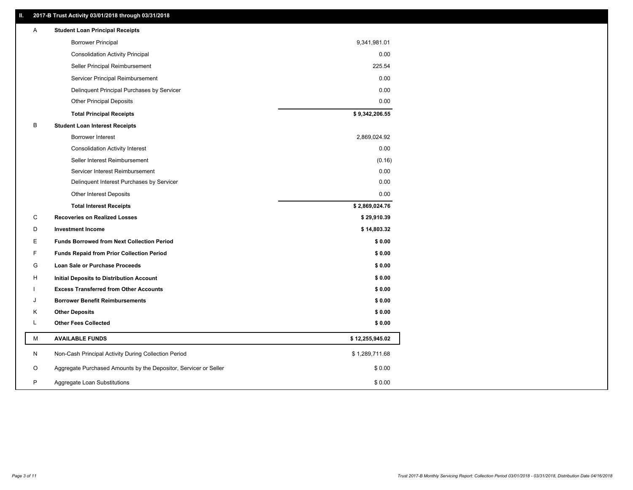### **II. 2017-B Trust Activity 03/01/2018 through 03/31/2018**

| A | <b>Student Loan Principal Receipts</b>                           |                 |  |
|---|------------------------------------------------------------------|-----------------|--|
|   | <b>Borrower Principal</b>                                        | 9,341,981.01    |  |
|   | <b>Consolidation Activity Principal</b>                          | 0.00            |  |
|   | Seller Principal Reimbursement                                   | 225.54          |  |
|   | Servicer Principal Reimbursement                                 | 0.00            |  |
|   | Delinquent Principal Purchases by Servicer                       | 0.00            |  |
|   | <b>Other Principal Deposits</b>                                  | 0.00            |  |
|   | <b>Total Principal Receipts</b>                                  | \$9,342,206.55  |  |
| В | <b>Student Loan Interest Receipts</b>                            |                 |  |
|   | Borrower Interest                                                | 2,869,024.92    |  |
|   | <b>Consolidation Activity Interest</b>                           | 0.00            |  |
|   | Seller Interest Reimbursement                                    | (0.16)          |  |
|   | Servicer Interest Reimbursement                                  | 0.00            |  |
|   | Delinquent Interest Purchases by Servicer                        | 0.00            |  |
|   | <b>Other Interest Deposits</b>                                   | 0.00            |  |
|   | <b>Total Interest Receipts</b>                                   | \$2,869,024.76  |  |
| C | <b>Recoveries on Realized Losses</b>                             | \$29,910.39     |  |
| D | <b>Investment Income</b>                                         | \$14,803.32     |  |
| Ε | <b>Funds Borrowed from Next Collection Period</b>                | \$0.00          |  |
| F | <b>Funds Repaid from Prior Collection Period</b>                 | \$0.00          |  |
| G | Loan Sale or Purchase Proceeds                                   | \$0.00          |  |
| н | Initial Deposits to Distribution Account                         | \$0.00          |  |
|   | <b>Excess Transferred from Other Accounts</b>                    | \$0.00          |  |
| J | <b>Borrower Benefit Reimbursements</b>                           | \$0.00          |  |
| Κ | <b>Other Deposits</b>                                            | \$0.00          |  |
| L | <b>Other Fees Collected</b>                                      | \$0.00          |  |
| М | <b>AVAILABLE FUNDS</b>                                           | \$12,255,945.02 |  |
| N | Non-Cash Principal Activity During Collection Period             | \$1,289,711.68  |  |
| O | Aggregate Purchased Amounts by the Depositor, Servicer or Seller | \$0.00          |  |
| P | Aggregate Loan Substitutions                                     | \$0.00          |  |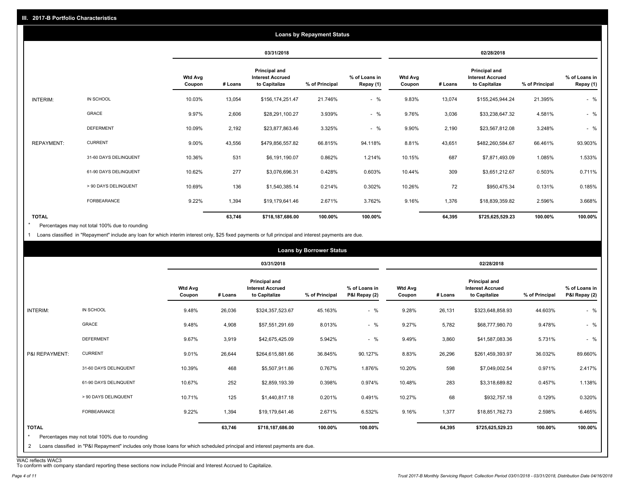|                   |                       |                          |         |                                                           | <b>Loans by Repayment Status</b> |                            |                          |         |                                                           |                |                            |
|-------------------|-----------------------|--------------------------|---------|-----------------------------------------------------------|----------------------------------|----------------------------|--------------------------|---------|-----------------------------------------------------------|----------------|----------------------------|
|                   |                       |                          |         | 03/31/2018                                                |                                  |                            |                          |         | 02/28/2018                                                |                |                            |
|                   |                       | <b>Wtd Avg</b><br>Coupon | # Loans | Principal and<br><b>Interest Accrued</b><br>to Capitalize | % of Principal                   | % of Loans in<br>Repay (1) | <b>Wtd Avg</b><br>Coupon | # Loans | Principal and<br><b>Interest Accrued</b><br>to Capitalize | % of Principal | % of Loans in<br>Repay (1) |
| INTERIM:          | IN SCHOOL             | 10.03%                   | 13,054  | \$156,174,251.47                                          | 21.746%                          | $-$ %                      | 9.83%                    | 13,074  | \$155,245,944.24                                          | 21.395%        | $-$ %                      |
|                   | GRACE                 | 9.97%                    | 2,606   | \$28,291,100.27                                           | 3.939%                           | $-$ %                      | 9.76%                    | 3,036   | \$33,238,647.32                                           | 4.581%         | $-$ %                      |
|                   | <b>DEFERMENT</b>      | 10.09%                   | 2,192   | \$23,877,863.46                                           | 3.325%                           | $-$ %                      | 9.90%                    | 2,190   | \$23,567,812.08                                           | 3.248%         | $-$ %                      |
| <b>REPAYMENT:</b> | <b>CURRENT</b>        | 9.00%                    | 43,556  | \$479,856,557.82                                          | 66.815%                          | 94.118%                    | 8.81%                    | 43,651  | \$482,260,584.67                                          | 66.461%        | 93.903%                    |
|                   | 31-60 DAYS DELINQUENT | 10.36%                   | 531     | \$6,191,190.07                                            | 0.862%                           | 1.214%                     | 10.15%                   | 687     | \$7,871,493.09                                            | 1.085%         | 1.533%                     |
|                   | 61-90 DAYS DELINQUENT | 10.62%                   | 277     | \$3,076,696.31                                            | 0.428%                           | 0.603%                     | 10.44%                   | 309     | \$3,651,212.67                                            | 0.503%         | 0.711%                     |
|                   | > 90 DAYS DELINQUENT  | 10.69%                   | 136     | \$1,540,385.14                                            | 0.214%                           | 0.302%                     | 10.26%                   | 72      | \$950,475.34                                              | 0.131%         | 0.185%                     |
|                   | <b>FORBEARANCE</b>    | 9.22%                    | 1,394   | \$19,179,641.46                                           | 2.671%                           | 3.762%                     | 9.16%                    | 1,376   | \$18,839,359.82                                           | 2.596%         | 3.668%                     |
| <b>TOTAL</b>      |                       |                          | 63,746  | \$718,187,686.00                                          | 100.00%                          | 100.00%                    |                          | 64,395  | \$725,625,529.23                                          | 100.00%        | 100.00%                    |

Percentages may not total 100% due to rounding \*

1 Loans classified in "Repayment" include any loan for which interim interest only, \$25 fixed payments or full principal and interest payments are due.

|                         |                                                                                                                            |                          |         |                                                           | <b>Loans by Borrower Status</b> |                                |                          |         |                                                                  |                |                                |
|-------------------------|----------------------------------------------------------------------------------------------------------------------------|--------------------------|---------|-----------------------------------------------------------|---------------------------------|--------------------------------|--------------------------|---------|------------------------------------------------------------------|----------------|--------------------------------|
|                         |                                                                                                                            |                          |         | 03/31/2018                                                |                                 |                                |                          |         | 02/28/2018                                                       |                |                                |
|                         |                                                                                                                            | <b>Wtd Avg</b><br>Coupon | # Loans | Principal and<br><b>Interest Accrued</b><br>to Capitalize | % of Principal                  | % of Loans in<br>P&I Repay (2) | <b>Wtd Avg</b><br>Coupon | # Loans | <b>Principal and</b><br><b>Interest Accrued</b><br>to Capitalize | % of Principal | % of Loans in<br>P&I Repay (2) |
| INTERIM:                | IN SCHOOL                                                                                                                  | 9.48%                    | 26,036  | \$324,357,523.67                                          | 45.163%                         | $-$ %                          | 9.28%                    | 26,131  | \$323,648,858.93                                                 | 44.603%        | $-$ %                          |
|                         | <b>GRACE</b>                                                                                                               | 9.48%                    | 4,908   | \$57,551,291.69                                           | 8.013%                          | $-$ %                          | 9.27%                    | 5,782   | \$68,777,980.70                                                  | 9.478%         | $-$ %                          |
|                         | <b>DEFERMENT</b>                                                                                                           | 9.67%                    | 3,919   | \$42,675,425.09                                           | 5.942%                          | $-$ %                          | 9.49%                    | 3,860   | \$41,587,083.36                                                  | 5.731%         | $-$ %                          |
| P&I REPAYMENT:          | <b>CURRENT</b>                                                                                                             | 9.01%                    | 26,644  | \$264,615,881.66                                          | 36.845%                         | 90.127%                        | 8.83%                    | 26,296  | \$261,459,393.97                                                 | 36.032%        | 89.660%                        |
|                         | 31-60 DAYS DELINQUENT                                                                                                      | 10.39%                   | 468     | \$5,507,911.86                                            | 0.767%                          | 1.876%                         | 10.20%                   | 598     | \$7,049,002.54                                                   | 0.971%         | 2.417%                         |
|                         | 61-90 DAYS DELINQUENT                                                                                                      | 10.67%                   | 252     | \$2,859,193.39                                            | 0.398%                          | 0.974%                         | 10.48%                   | 283     | \$3,318,689.82                                                   | 0.457%         | 1.138%                         |
|                         | > 90 DAYS DELINQUENT                                                                                                       | 10.71%                   | 125     | \$1,440,817.18                                            | 0.201%                          | 0.491%                         | 10.27%                   | 68      | \$932,757.18                                                     | 0.129%         | 0.320%                         |
|                         | FORBEARANCE                                                                                                                | 9.22%                    | 1,394   | \$19,179,641.46                                           | 2.671%                          | 6.532%                         | 9.16%                    | 1,377   | \$18,851,762.73                                                  | 2.598%         | 6.465%                         |
| <b>TOTAL</b><br>$\star$ | Percentages may not total 100% due to rounding                                                                             |                          | 63,746  | \$718,187,686.00                                          | 100.00%                         | 100.00%                        |                          | 64,395  | \$725,625,529.23                                                 | 100.00%        | 100.00%                        |
| $\overline{2}$          | Loans classified in "P&I Repayment" includes only those loans for which scheduled principal and interest payments are due. |                          |         |                                                           |                                 |                                |                          |         |                                                                  |                |                                |

WAC reflects WAC3 To conform with company standard reporting these sections now include Princial and Interest Accrued to Capitalize.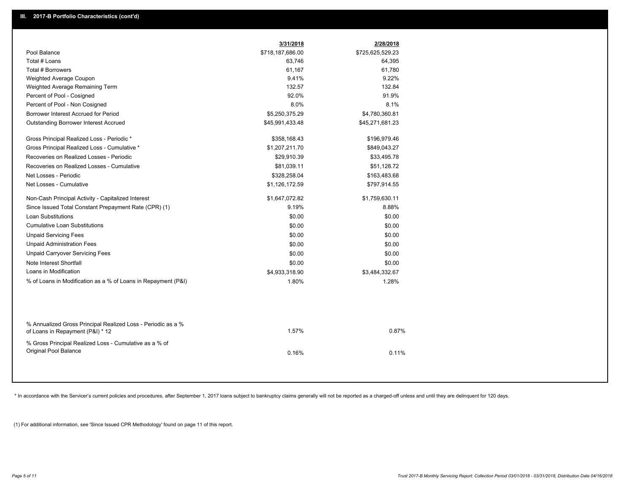|                                                                                                  | 3/31/2018        | 2/28/2018        |  |
|--------------------------------------------------------------------------------------------------|------------------|------------------|--|
| Pool Balance                                                                                     | \$718,187,686.00 | \$725,625,529.23 |  |
| Total # Loans                                                                                    | 63,746           | 64,395           |  |
| Total # Borrowers                                                                                | 61,167           | 61,780           |  |
| Weighted Average Coupon                                                                          | 9.41%            | 9.22%            |  |
| Weighted Average Remaining Term                                                                  | 132.57           | 132.84           |  |
| Percent of Pool - Cosigned                                                                       | 92.0%            | 91.9%            |  |
| Percent of Pool - Non Cosigned                                                                   | 8.0%             | 8.1%             |  |
| Borrower Interest Accrued for Period                                                             | \$5,250,375.29   | \$4,780,360.81   |  |
| Outstanding Borrower Interest Accrued                                                            | \$45,991,433.48  | \$45,271,681.23  |  |
| Gross Principal Realized Loss - Periodic *                                                       | \$358,168.43     | \$196,979.46     |  |
| Gross Principal Realized Loss - Cumulative *                                                     | \$1,207,211.70   | \$849,043.27     |  |
| Recoveries on Realized Losses - Periodic                                                         | \$29,910.39      | \$33,495.78      |  |
| Recoveries on Realized Losses - Cumulative                                                       | \$81,039.11      | \$51,128.72      |  |
| Net Losses - Periodic                                                                            | \$328,258.04     | \$163,483.68     |  |
| Net Losses - Cumulative                                                                          | \$1,126,172.59   | \$797,914.55     |  |
| Non-Cash Principal Activity - Capitalized Interest                                               | \$1,647,072.82   | \$1,759,630.11   |  |
| Since Issued Total Constant Prepayment Rate (CPR) (1)                                            | 9.19%            | 8.88%            |  |
| <b>Loan Substitutions</b>                                                                        | \$0.00           | \$0.00           |  |
| <b>Cumulative Loan Substitutions</b>                                                             | \$0.00           | \$0.00           |  |
| <b>Unpaid Servicing Fees</b>                                                                     | \$0.00           | \$0.00           |  |
| <b>Unpaid Administration Fees</b>                                                                | \$0.00           | \$0.00           |  |
| <b>Unpaid Carryover Servicing Fees</b>                                                           | \$0.00           | \$0.00           |  |
| Note Interest Shortfall                                                                          | \$0.00           | \$0.00           |  |
| Loans in Modification                                                                            | \$4,933,318.90   | \$3,484,332.67   |  |
| % of Loans in Modification as a % of Loans in Repayment (P&I)                                    | 1.80%            | 1.28%            |  |
|                                                                                                  |                  |                  |  |
| % Annualized Gross Principal Realized Loss - Periodic as a %<br>of Loans in Repayment (P&I) * 12 | 1.57%            | 0.87%            |  |
| % Gross Principal Realized Loss - Cumulative as a % of                                           |                  |                  |  |
| Original Pool Balance                                                                            | 0.16%            | 0.11%            |  |
|                                                                                                  |                  |                  |  |

\* In accordance with the Servicer's current policies and procedures, after September 1, 2017 loans subject to bankruptcy claims generally will not be reported as a charged-off unless and until they are delinquent for 120 d

(1) For additional information, see 'Since Issued CPR Methodology' found on page 11 of this report.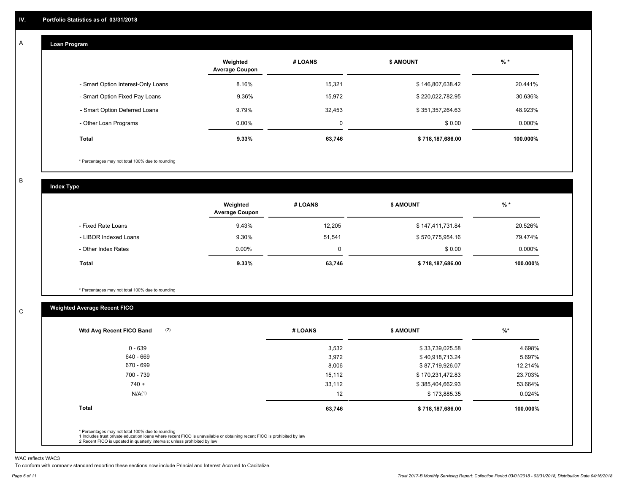#### **Loan Program**  A

|                                    | Weighted<br><b>Average Coupon</b> | # LOANS | <b>\$ AMOUNT</b> | $%$ *     |
|------------------------------------|-----------------------------------|---------|------------------|-----------|
| - Smart Option Interest-Only Loans | 8.16%                             | 15.321  | \$146,807,638.42 | 20.441%   |
| - Smart Option Fixed Pay Loans     | 9.36%                             | 15,972  | \$220,022,782.95 | 30.636%   |
| - Smart Option Deferred Loans      | 9.79%                             | 32.453  | \$351,357,264.63 | 48.923%   |
| - Other Loan Programs              | $0.00\%$                          | 0       | \$0.00           | $0.000\%$ |
| <b>Total</b>                       | 9.33%                             | 63,746  | \$718,187,686.00 | 100.000%  |

\* Percentages may not total 100% due to rounding

B

C

**Index Type**

|                       | Weighted<br><b>Average Coupon</b> | # LOANS | <b>S AMOUNT</b>  | $%$ *     |
|-----------------------|-----------------------------------|---------|------------------|-----------|
| - Fixed Rate Loans    | 9.43%                             | 12.205  | \$147,411,731.84 | 20.526%   |
| - LIBOR Indexed Loans | 9.30%                             | 51,541  | \$570,775,954.16 | 79.474%   |
| - Other Index Rates   | $0.00\%$                          |         | \$0.00           | $0.000\%$ |
| Total                 | 9.33%                             | 63,746  | \$718,187,686.00 | 100.000%  |

\* Percentages may not total 100% due to rounding

### **Weighted Average Recent FICO**

| $0 - 639$<br>640 - 669 | 3,532  | \$33,739,025.58  | 4.698%   |
|------------------------|--------|------------------|----------|
|                        |        |                  |          |
|                        | 3,972  | \$40,918,713.24  | 5.697%   |
| 670 - 699              | 8,006  | \$87,719,926.07  | 12.214%  |
| 700 - 739              | 15,112 | \$170,231,472.83 | 23.703%  |
| $740 +$                | 33,112 | \$385,404,662.93 | 53.664%  |
| N/A <sup>(1)</sup>     | 12     | \$173,885.35     | 0.024%   |
| <b>Total</b>           | 63,746 | \$718,187,686.00 | 100.000% |

WAC reflects WAC3

To conform with company standard reporting these sections now include Princial and Interest Accrued to Capitalize.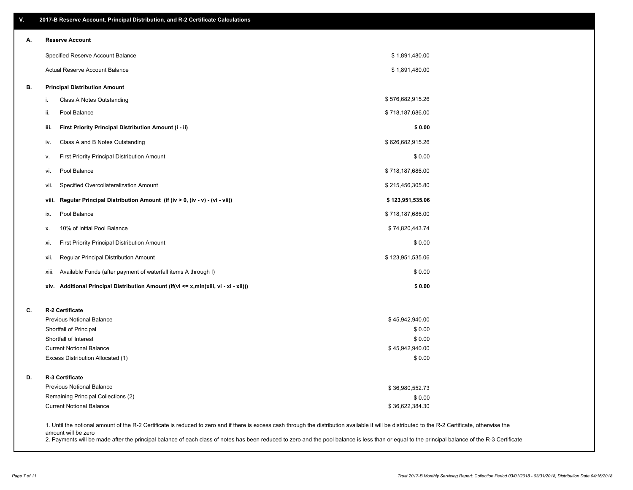| ۷. | 2017-B Reserve Account, Principal Distribution, and R-2 Certificate Calculations     |                                                                                                                                                                                                    |                  |  |
|----|--------------------------------------------------------------------------------------|----------------------------------------------------------------------------------------------------------------------------------------------------------------------------------------------------|------------------|--|
| А. | <b>Reserve Account</b>                                                               |                                                                                                                                                                                                    |                  |  |
|    | Specified Reserve Account Balance                                                    |                                                                                                                                                                                                    | \$1,891,480.00   |  |
|    | <b>Actual Reserve Account Balance</b>                                                |                                                                                                                                                                                                    | \$1,891,480.00   |  |
| В. | <b>Principal Distribution Amount</b>                                                 |                                                                                                                                                                                                    |                  |  |
|    | Class A Notes Outstanding<br>i.                                                      |                                                                                                                                                                                                    | \$576,682,915.26 |  |
|    | Pool Balance<br>ii.                                                                  |                                                                                                                                                                                                    | \$718,187,686.00 |  |
|    | First Priority Principal Distribution Amount (i - ii)<br>iii.                        |                                                                                                                                                                                                    | \$0.00           |  |
|    | Class A and B Notes Outstanding<br>iv.                                               |                                                                                                                                                                                                    | \$626,682,915.26 |  |
|    | First Priority Principal Distribution Amount<br>v.                                   |                                                                                                                                                                                                    | \$0.00           |  |
|    | Pool Balance<br>vi.                                                                  |                                                                                                                                                                                                    | \$718,187,686.00 |  |
|    | Specified Overcollateralization Amount<br>vii.                                       |                                                                                                                                                                                                    | \$215,456,305.80 |  |
|    | Regular Principal Distribution Amount (if (iv > 0, (iv - v) - (vi - vii))<br>viii.   |                                                                                                                                                                                                    | \$123,951,535.06 |  |
|    | Pool Balance<br>ix.                                                                  |                                                                                                                                                                                                    | \$718,187,686.00 |  |
|    | 10% of Initial Pool Balance<br>х.                                                    |                                                                                                                                                                                                    | \$74,820,443.74  |  |
|    | First Priority Principal Distribution Amount<br>xi.                                  |                                                                                                                                                                                                    | \$0.00           |  |
|    | Regular Principal Distribution Amount<br>xii.                                        |                                                                                                                                                                                                    | \$123,951,535.06 |  |
|    | Available Funds (after payment of waterfall items A through I)<br>xiii.              |                                                                                                                                                                                                    | \$0.00           |  |
|    | xiv. Additional Principal Distribution Amount (if(vi <= x,min(xiii, vi - xi - xii))) |                                                                                                                                                                                                    | \$0.00           |  |
| C. | R-2 Certificate                                                                      |                                                                                                                                                                                                    |                  |  |
|    | <b>Previous Notional Balance</b>                                                     |                                                                                                                                                                                                    | \$45,942,940.00  |  |
|    | Shortfall of Principal                                                               |                                                                                                                                                                                                    | \$0.00           |  |
|    | Shortfall of Interest                                                                |                                                                                                                                                                                                    | \$0.00           |  |
|    | <b>Current Notional Balance</b>                                                      |                                                                                                                                                                                                    | \$45,942,940.00  |  |
|    | Excess Distribution Allocated (1)                                                    |                                                                                                                                                                                                    | \$0.00           |  |
| D. | R-3 Certificate                                                                      |                                                                                                                                                                                                    |                  |  |
|    | <b>Previous Notional Balance</b>                                                     |                                                                                                                                                                                                    | \$36,980,552.73  |  |
|    | Remaining Principal Collections (2)                                                  |                                                                                                                                                                                                    | \$0.00           |  |
|    | <b>Current Notional Balance</b>                                                      |                                                                                                                                                                                                    | \$36,622,384.30  |  |
|    | amount will be zero                                                                  | 1. Until the notional amount of the R-2 Certificate is reduced to zero and if there is excess cash through the distribution available it will be distributed to the R-2 Certificate, otherwise the |                  |  |

2. Payments will be made after the principal balance of each class of notes has been reduced to zero and the pool balance is less than or equal to the principal balance of the R-3 Certificate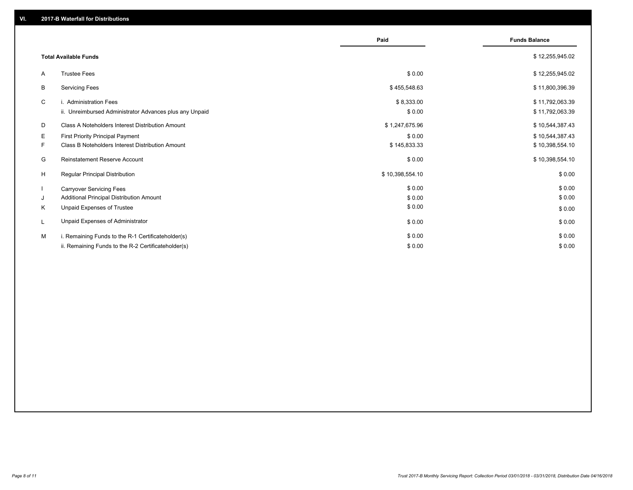|    |                                                         | Paid            | <b>Funds Balance</b> |
|----|---------------------------------------------------------|-----------------|----------------------|
|    |                                                         |                 |                      |
|    | <b>Total Available Funds</b>                            |                 | \$12,255,945.02      |
| A  | <b>Trustee Fees</b>                                     | \$0.00          | \$12,255,945.02      |
| B  | <b>Servicing Fees</b>                                   | \$455,548.63    | \$11,800,396.39      |
| C  | i. Administration Fees                                  | \$8,333.00      | \$11,792,063.39      |
|    | ii. Unreimbursed Administrator Advances plus any Unpaid | \$0.00          | \$11,792,063.39      |
| D  | Class A Noteholders Interest Distribution Amount        | \$1,247,675.96  | \$10,544,387.43      |
| Е  | First Priority Principal Payment                        | \$0.00          | \$10,544,387.43      |
| F. | Class B Noteholders Interest Distribution Amount        | \$145,833.33    | \$10,398,554.10      |
| G  | <b>Reinstatement Reserve Account</b>                    | \$0.00          | \$10,398,554.10      |
| H  | Regular Principal Distribution                          | \$10,398,554.10 | \$0.00               |
|    | <b>Carryover Servicing Fees</b>                         | \$0.00          | \$0.00               |
| J  | Additional Principal Distribution Amount                | \$0.00          | \$0.00               |
| Κ  | Unpaid Expenses of Trustee                              | \$0.00          | \$0.00               |
| L  | Unpaid Expenses of Administrator                        | \$0.00          | \$0.00               |
| M  | i. Remaining Funds to the R-1 Certificateholder(s)      | \$0.00          | \$0.00               |
|    | ii. Remaining Funds to the R-2 Certificateholder(s)     | \$0.00          | \$0.00               |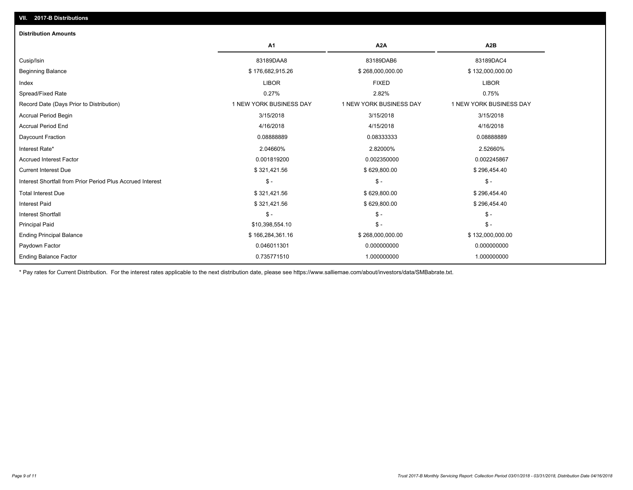| <b>Distribution Amounts</b>                                |                         |                         |                         |
|------------------------------------------------------------|-------------------------|-------------------------|-------------------------|
|                                                            | A <sub>1</sub>          | A <sub>2</sub> A        | A2B                     |
| Cusip/Isin                                                 | 83189DAA8               | 83189DAB6               | 83189DAC4               |
| <b>Beginning Balance</b>                                   | \$176,682,915.26        | \$268,000,000.00        | \$132,000,000.00        |
| Index                                                      | <b>LIBOR</b>            | <b>FIXED</b>            | <b>LIBOR</b>            |
| Spread/Fixed Rate                                          | 0.27%                   | 2.82%                   | 0.75%                   |
| Record Date (Days Prior to Distribution)                   | 1 NEW YORK BUSINESS DAY | 1 NEW YORK BUSINESS DAY | 1 NEW YORK BUSINESS DAY |
| <b>Accrual Period Begin</b>                                | 3/15/2018               | 3/15/2018               | 3/15/2018               |
| <b>Accrual Period End</b>                                  | 4/16/2018               | 4/15/2018               | 4/16/2018               |
| Daycount Fraction                                          | 0.08888889              | 0.08333333              | 0.08888889              |
| Interest Rate*                                             | 2.04660%                | 2.82000%                | 2.52660%                |
| <b>Accrued Interest Factor</b>                             | 0.001819200             | 0.002350000             | 0.002245867             |
| <b>Current Interest Due</b>                                | \$321,421.56            | \$629,800.00            | \$296,454.40            |
| Interest Shortfall from Prior Period Plus Accrued Interest | $\mathsf{\$}$ -         | $\mathsf{\$}$ -         | $\frac{2}{3}$ -         |
| <b>Total Interest Due</b>                                  | \$321,421.56            | \$629,800.00            | \$296,454.40            |
| <b>Interest Paid</b>                                       | \$321,421.56            | \$629,800.00            | \$296,454.40            |
| <b>Interest Shortfall</b>                                  | $\mathsf{\$}$ -         | $\mathsf{\$}$ -         | $S -$                   |
| <b>Principal Paid</b>                                      | \$10,398,554.10         | $\mathsf{\$}$ -         | $\mathsf{\$}$ -         |
| <b>Ending Principal Balance</b>                            | \$166,284,361.16        | \$268,000,000.00        | \$132,000,000.00        |
| Paydown Factor                                             | 0.046011301             | 0.000000000             | 0.000000000             |
| <b>Ending Balance Factor</b>                               | 0.735771510             | 1.000000000             | 1.000000000             |
|                                                            |                         |                         |                         |

\* Pay rates for Current Distribution. For the interest rates applicable to the next distribution date, please see https://www.salliemae.com/about/investors/data/SMBabrate.txt.

**VII. 2017-B Distributions**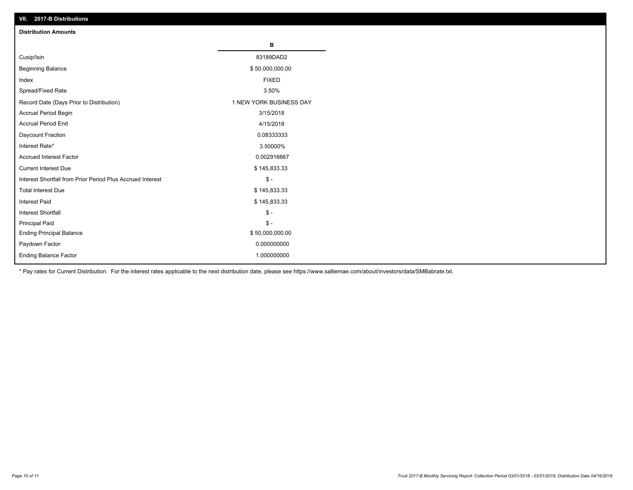| VII. 2017-B Distributions                                  |                         |
|------------------------------------------------------------|-------------------------|
| <b>Distribution Amounts</b>                                |                         |
|                                                            | в                       |
| Cusip/Isin                                                 | 83189DAD2               |
| <b>Beginning Balance</b>                                   | \$50,000,000.00         |
| Index                                                      | <b>FIXED</b>            |
| Spread/Fixed Rate                                          | 3.50%                   |
| Record Date (Days Prior to Distribution)                   | 1 NEW YORK BUSINESS DAY |
| Accrual Period Begin                                       | 3/15/2018               |
| <b>Accrual Period End</b>                                  | 4/15/2018               |
| Daycount Fraction                                          | 0.08333333              |
| Interest Rate*                                             | 3.50000%                |
| <b>Accrued Interest Factor</b>                             | 0.002916667             |
| <b>Current Interest Due</b>                                | \$145,833.33            |
| Interest Shortfall from Prior Period Plus Accrued Interest | $\mathsf{\$}$ -         |
| <b>Total Interest Due</b>                                  | \$145,833.33            |
| <b>Interest Paid</b>                                       | \$145,833.33            |
| <b>Interest Shortfall</b>                                  | $\mathsf{\$}$ -         |
| <b>Principal Paid</b>                                      | $\mathbb{S}$ -          |
| <b>Ending Principal Balance</b>                            | \$50,000,000.00         |
| Paydown Factor                                             | 0.000000000             |
| Ending Balance Factor                                      | 1.000000000             |

\* Pay rates for Current Distribution. For the interest rates applicable to the next distribution date, please see https://www.salliemae.com/about/investors/data/SMBabrate.txt.